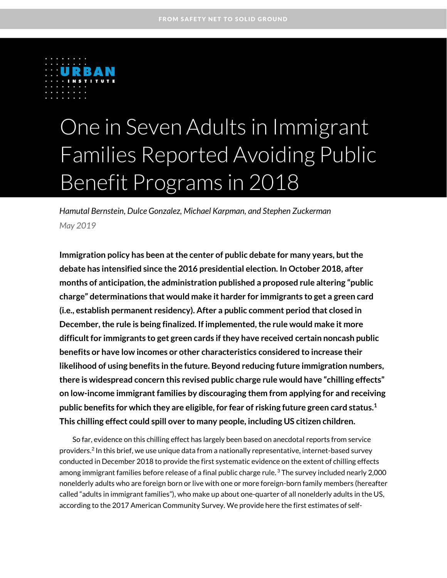

# One in Seven Adults in Immigrant Families Reported Avoiding Public Benefit Programs in 2018

*Hamutal Bernstein, Dulce Gonzalez, Michael Karpman, and Stephen Zuckerman May 2019*

**Immigration policy has been at the center of public debate for many years, but the debate has intensified since the 2016 presidential election. In October 2018, after months of anticipation, the administration published a proposed rule altering "public charge" determinations that would make it harder for immigrants to get a green card (i.e., establish permanent residency). After a public comment period that closed in December, the rule is being finalized. If implemented, the rule would make it more difficult for immigrants to get green cards if they have received certain noncash public benefits or have low incomes or other characteristics considered to increase their likelihood of using benefits in the future. Beyond reducing future immigration numbers, there is widespread concern this revised public charge rule would have "chilling effects" on low-income immigrant families by discouraging them from applying for and receiving public benefits for which they are eligible, for fear of risking future green card status.<sup>1</sup> This chilling effect could spill over to many people, including US citizen children.**

So far, evidence on this chilling effect has largely been based on anecdotal reports from service providers. $^2$  In this brief, we use unique data from a nationally representative, internet-based survey conducted in December 2018 to provide the first systematic evidence on the extent of chilling effects among immigrant families before release of a final public charge rule.  $^3$  The survey included nearly 2,000  $\,$ nonelderly adults who are foreign born or live with one or more foreign-born family members (hereafter called "adults in immigrant families"), who make up about one-quarter of all nonelderly adults in the US, according to the 2017 American Community Survey. We provide here the first estimates of self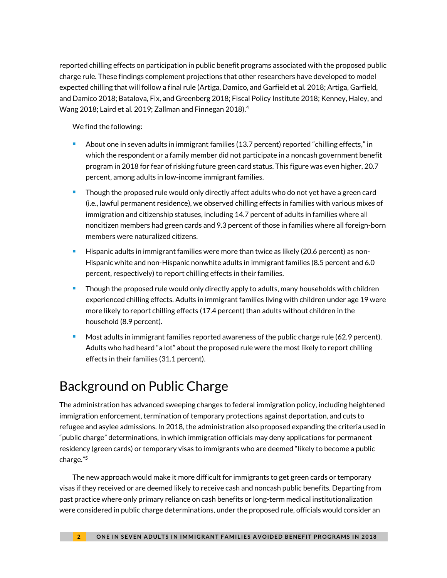reported chilling effects on participation in public benefit programs associated with the proposed public charge rule. These findings complement projections that other researchers have developed to model expected chilling that will follow a final rule (Artiga, Damico, and Garfield et al. 2018; Artiga, Garfield, and Damico 2018; Batalova, Fix, and Greenberg 2018; Fiscal Policy Institute 2018; Kenney, Haley, and Wang 2018; Laird et al. 2019; Zallman and Finnegan 2018). 4

We find the following:

- About one in seven adults in immigrant families (13.7 percent) reported "chilling effects," in which the respondent or a family member did not participate in a noncash government benefit program in 2018 for fear of risking future green card status. This figure was even higher, 20.7 percent, among adults in low-income immigrant families.
- Though the proposed rule would only directly affect adults who do not yet have a green card (i.e., lawful permanent residence), we observed chilling effects in families with various mixes of immigration and citizenship statuses, including 14.7 percent of adults in families where all noncitizen members had green cards and 9.3 percent of those in families where all foreign-born members were naturalized citizens.
- Hispanic adults in immigrant families were more than twice as likely (20.6 percent) as non-Hispanic white and non-Hispanic nonwhite adults in immigrant families (8.5 percent and 6.0 percent, respectively) to report chilling effects in their families.
- Though the proposed rule would only directly apply to adults, many households with children experienced chilling effects. Adults in immigrant families living with children under age 19 were more likely to report chilling effects (17.4 percent) than adults without children in the household (8.9 percent).
- Most adults in immigrant families reported awareness of the public charge rule (62.9 percent). Adults who had heard "a lot" about the proposed rule were the most likely to report chilling effects in their families (31.1 percent).

## Background on Public Charge

The administration has advanced sweeping changes to federal immigration policy, including heightened immigration enforcement, termination of temporary protections against deportation, and cuts to refugee and asylee admissions. In 2018, the administration also proposed expanding the criteria used in "public charge" determinations, in which immigration officials may deny applications for permanent residency (green cards) or temporary visas to immigrants who are deemed "likely to become a public charge."<sup>5</sup>

The new approach would make it more difficult for immigrants to get green cards or temporary visas if they received or are deemed likely to receive cash and noncash public benefits. Departing from past practice where only primary reliance on cash benefits or long-term medical institutionalization were considered in public charge determinations, under the proposed rule, officials would consider an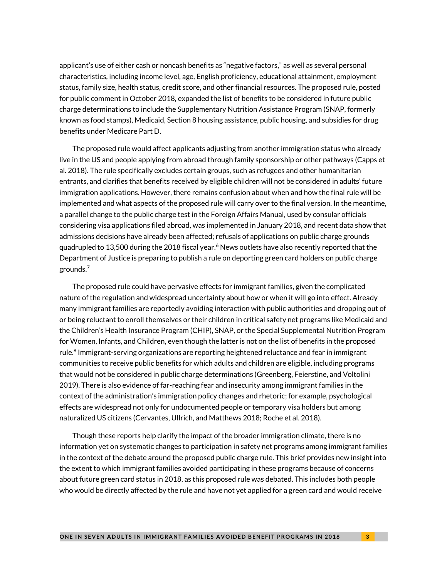applicant's use of either cash or noncash benefits as "negative factors," as well as several personal characteristics, including income level, age, English proficiency, educational attainment, employment status, family size, health status, credit score, and other financial resources. The proposed rule, posted for public comment in October 2018, expanded the list of benefits to be considered in future public charge determinations to include the Supplementary Nutrition Assistance Program (SNAP, formerly known as food stamps), Medicaid, Section 8 housing assistance, public housing, and subsidies for drug benefits under Medicare Part D.

The proposed rule would affect applicants adjusting from another immigration status who already live in the US and people applying from abroad through family sponsorship or other pathways (Capps et al. 2018). The rule specifically excludes certain groups, such as refugees and other humanitarian entrants, and clarifies that benefits received by eligible children will not be considered in adults' future immigration applications. However, there remains confusion about when and how the final rule will be implemented and what aspects of the proposed rule will carry over to the final version. In the meantime, a parallel change to the public charge test in the Foreign Affairs Manual, used by consular officials considering visa applications filed abroad, was implemented in January 2018, and recent data show that admissions decisions have already been affected; refusals of applications on public charge grounds quadrupled to 13,500 during the 2018 fiscal year.<sup>6</sup> News outlets have also recently reported that the Department of Justice is preparing to publish a rule on deporting green card holders on public charge grounds.<sup>7</sup>

The proposed rule could have pervasive effects for immigrant families, given the complicated nature of the regulation and widespread uncertainty about how or when it will go into effect. Already many immigrant families are reportedly avoiding interaction with public authorities and dropping out of or being reluctant to enroll themselves or their children in critical safety net programs like Medicaid and the Children's Health Insurance Program (CHIP), SNAP, or the Special Supplemental Nutrition Program for Women, Infants, and Children, even though the latter is not on the list of benefits in the proposed rule.<sup>8</sup> Immigrant-serving organizations are reporting heightened reluctance and fear in immigrant communities to receive public benefits for which adults and children are eligible, including programs that would not be considered in public charge determinations (Greenberg, Feierstine, and Voltolini 2019). There is also evidence of far-reaching fear and insecurity among immigrant families in the context of the administration's immigration policy changes and rhetoric; for example, psychological effects are widespread not only for undocumented people or temporary visa holders but among naturalized US citizens (Cervantes, Ullrich, and Matthews 2018; Roche et al. 2018).

Though these reports help clarify the impact of the broader immigration climate, there is no information yet on systematic changes to participation in safety net programs among immigrant families in the context of the debate around the proposed public charge rule. This brief provides new insight into the extent to which immigrant families avoided participating in these programs because of concerns about future green card status in 2018, as this proposed rule was debated. This includes both people who would be directly affected by the rule and have not yet applied for a green card and would receive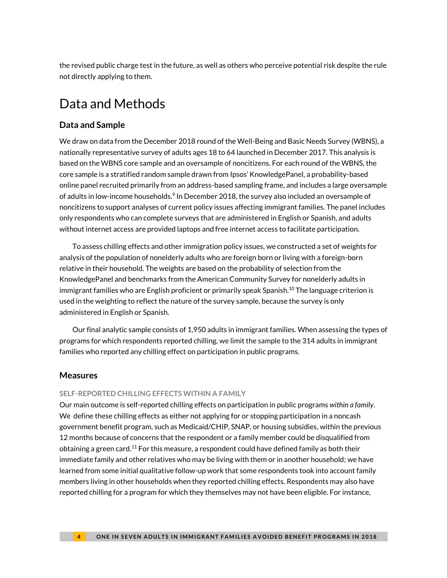the revised public charge test in the future, as well as others who perceive potential risk despite the rule not directly applying to them.

### Data and Methods

#### **Data and Sample**

We draw on data from the December 2018 round of the Well-Being and Basic Needs Survey (WBNS), a nationally representative survey of adults ages 18 to 64 launched in December 2017. This analysis is based on the WBNS core sample and an oversample of noncitizens. For each round of the WBNS, the core sample is a stratified random sample drawn from Ipsos' KnowledgePanel, a probability-based online panel recruited primarily from an address-based sampling frame, and includes a large oversample of adults in low-income households.<sup>9</sup> In December 2018, the survey also included an oversample of noncitizens to support analyses of current policy issues affecting immigrant families. The panel includes only respondents who can complete surveys that are administered in English or Spanish, and adults without internet access are provided laptops and free internet access to facilitate participation.

To assess chilling effects and other immigration policy issues, we constructed a set of weights for analysis of the population of nonelderly adults who are foreign born or living with a foreign-born relative in their household. The weights are based on the probability of selection from the KnowledgePanel and benchmarks from the American Community Survey for nonelderly adults in immigrant families who are English proficient or primarily speak Spanish. $^{10}$  The language criterion is used in the weighting to reflect the nature of the survey sample, because the survey is only administered in English or Spanish.

Our final analytic sample consists of 1,950 adults in immigrant families. When assessing the types of programs for which respondents reported chilling, we limit the sample to the 314 adults in immigrant families who reported any chilling effect on participation in public programs.

#### **Measures**

#### **SELF-REPORTED CHILLING EFFECTS WITHIN A FAMILY**

Our main outcome is self-reported chilling effects on participation in public programs *within a family*. We define these chilling effects as either not applying for or stopping participation in a noncash government benefit program, such as Medicaid/CHIP, SNAP, or housing subsidies, within the previous 12 months because of concerns that the respondent or a family member could be disqualified from obtaining a green card.<sup>11</sup> For this measure, a respondent could have defined family as both their immediate family and other relatives who may be living with them or in another household; we have learned from some initial qualitative follow-up work that some respondents took into account family members living in other households when they reported chilling effects. Respondents may also have reported chilling for a program for which they themselves may not have been eligible. For instance,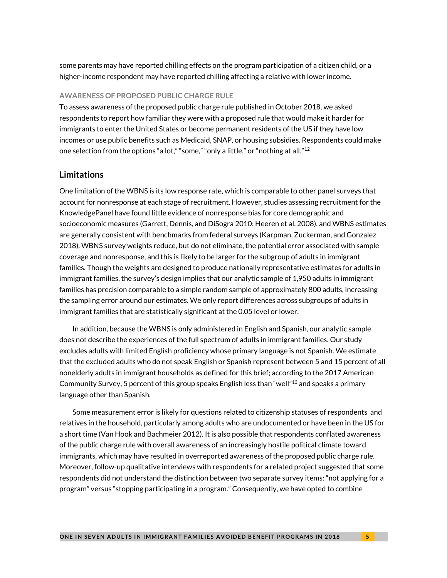some parents may have reported chilling effects on the program participation of a citizen child, or a higher-income respondent may have reported chilling affecting a relative with lower income.

#### **AWARENESS OF PROPOSED PUBLIC CHARGE RULE**

To assess awareness of the proposed public charge rule published in October 2018, we asked respondents to report how familiar they were with a proposed rule that would make it harder for immigrants to enter the United States or become permanent residents of the US if they have low incomes or use public benefits such as Medicaid, SNAP, or housing subsidies. Respondents could make one selection from the options "a lot," "some," "only a little," or "nothing at all."<sup>12</sup>

#### **Limitations**

One limitation of the WBNS is its low response rate, which is comparable to other panel surveys that account for nonresponse at each stage of recruitment. However, studies assessing recruitment for the KnowledgePanel have found little evidence of nonresponse bias for core demographic and socioeconomic measures (Garrett, Dennis, and DiSogra 2010; Heeren et al. 2008), and WBNS estimates are generally consistent with benchmarks from federal surveys (Karpman, Zuckerman, and Gonzalez 2018). WBNS survey weights reduce, but do not eliminate, the potential error associated with sample coverage and nonresponse, and this is likely to be larger for the subgroup of adults in immigrant families. Though the weights are designed to produce nationally representative estimates for adults in immigrant families, the survey's design implies that our analytic sample of 1,950 adults in immigrant families has precision comparable to a simple random sample of approximately 800 adults, increasing the sampling error around our estimates. We only report differences across subgroups of adults in immigrant families that are statistically significant at the 0.05 level or lower.

In addition, because the WBNS is only administered in English and Spanish, our analytic sample does not describe the experiences of the full spectrum of adults in immigrant families. Our study excludes adults with limited English proficiency whose primary language is not Spanish. We estimate that the excluded adults who do not speak English or Spanish represent between 5 and 15 percent of all nonelderly adults in immigrant households as defined for this brief; according to the 2017 American Community Survey, 5 percent of this group speaks English less than "well"<sup>13</sup> and speaks a primary language other than Spanish.

Some measurement error is likely for questions related to citizenship statuses of respondents and relatives in the household, particularly among adults who are undocumented or have been in the US for a short time (Van Hook and Bachmeier 2012). It is also possible that respondents conflated awareness of the public charge rule with overall awareness of an increasingly hostile political climate toward immigrants, which may have resulted in overreported awareness of the proposed public charge rule. Moreover, follow-up qualitative interviews with respondents for a related project suggested that some respondents did not understand the distinction between two separate survey items: "not applying for a program" versus "stopping participating in a program." Consequently, we have opted to combine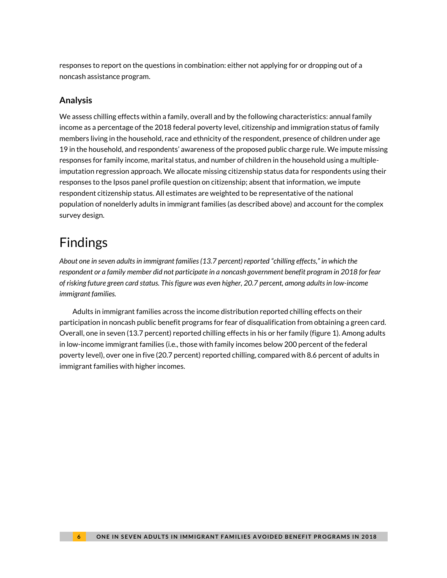responses to report on the questions in combination: either not applying for or dropping out of a noncash assistance program.

#### **Analysis**

We assess chilling effects within a family, overall and by the following characteristics: annual family income as a percentage of the 2018 federal poverty level, citizenship and immigration status of family members living in the household, race and ethnicity of the respondent, presence of children under age 19 in the household, and respondents' awareness of the proposed public charge rule. We impute missing responses for family income, marital status, and number of children in the household using a multipleimputation regression approach. We allocate missing citizenship status data for respondents using their responses to the Ipsos panel profile question on citizenship; absent that information, we impute respondent citizenship status. All estimates are weighted to be representative of the national population of nonelderly adults in immigrant families (as described above) and account for the complex survey design.

# Findings

*About one in seven adults in immigrant families (13.7 percent) reported "chilling effects," in which the respondent or a family member did not participate in a noncash government benefit program in 2018 for fear of risking future green card status. This figure was even higher, 20.7 percent, among adults in low-income immigrant families.*

Adults in immigrant families across the income distribution reported chilling effects on their participation in noncash public benefit programs for fear of disqualification from obtaining a green card. Overall, one in seven (13.7 percent) reported chilling effects in his or her family (figure 1). Among adults in low-income immigrant families (i.e., those with family incomes below 200 percent of the federal poverty level), over one in five (20.7 percent) reported chilling, compared with 8.6 percent of adults in immigrant families with higher incomes.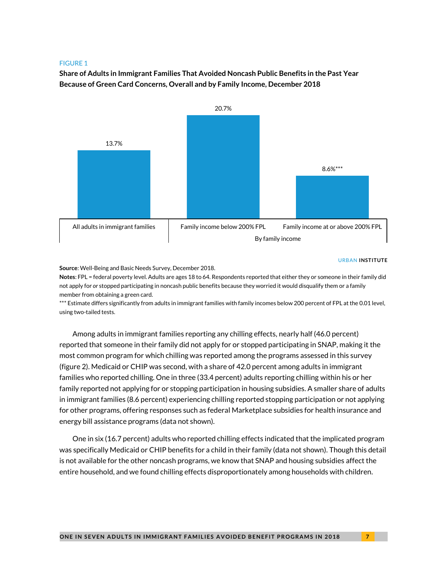**Share of Adults in Immigrant Families That Avoided Noncash Public Benefits in the Past Year Because of Green Card Concerns, Overall and by Family Income, December 2018**



#### URBAN **INSTITUTE**

**Source**: Well-Being and Basic Needs Survey, December 2018.

**Notes**: FPL = federal poverty level. Adults are ages 18 to 64. Respondents reported that either they or someone in their family did not apply for *or* stopped participating in noncash public benefits because they worried it would disqualify them or a family member from obtaining a green card.

\*\*\* Estimate differs significantly from adults in immigrant families with family incomes below 200 percent of FPL at the 0.01 level, using two-tailed tests.

Among adults in immigrant families reporting any chilling effects, nearly half (46.0 percent) reported that someone in their family did not apply for or stopped participating in SNAP, making it the most common program for which chilling was reported among the programs assessed in this survey (figure 2). Medicaid or CHIP was second, with a share of 42.0 percent among adults in immigrant families who reported chilling. One in three (33.4 percent) adults reporting chilling within his or her family reported not applying for or stopping participation in housing subsidies. A smaller share of adults in immigrant families (8.6 percent) experiencing chilling reported stopping participation or not applying for other programs, offering responses such as federal Marketplace subsidies for health insurance and energy bill assistance programs (data not shown).

One in six (16.7 percent) adults who reported chilling effects indicated that the implicated program was specifically Medicaid or CHIP benefits for a child in their family (data not shown). Though this detail is not available for the other noncash programs, we know that SNAP and housing subsidies affect the entire household, and we found chilling effects disproportionately among households with children.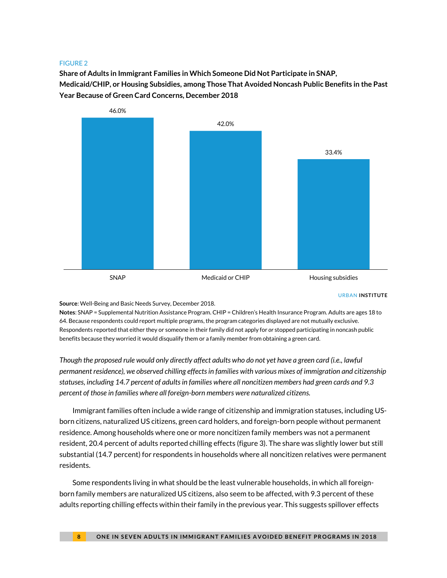**Share of Adults in Immigrant Families in Which Someone Did Not Participate in SNAP, Medicaid/CHIP, or Housing Subsidies, among Those That Avoided Noncash Public Benefits in the Past Year Because of Green Card Concerns, December 2018**



URBAN **INSTITUTE**

**Source**: Well-Being and Basic Needs Survey, December 2018.

**Notes**: SNAP = Supplemental Nutrition Assistance Program. CHIP = Children's Health Insurance Program. Adults are ages 18 to 64. Because respondents could report multiple programs, the program categories displayed are not mutually exclusive. Respondents reported that either they or someone in their family did not apply for *or* stopped participating in noncash public benefits because they worried it would disqualify them or a family member from obtaining a green card.

*Though the proposed rule would only directly affect adults who do not yet have a green card (i.e., lawful permanent residence), we observed chilling effects in families with various mixes of immigration and citizenship statuses, including 14.7 percent of adults in families where all noncitizen members had green cards and 9.3 percent of those in families where all foreign-born members were naturalized citizens.*

Immigrant families often include a wide range of citizenship and immigration statuses, including USborn citizens, naturalized US citizens, green card holders, and foreign-born people without permanent residence. Among households where one or more noncitizen family members was not a permanent resident, 20.4 percent of adults reported chilling effects (figure 3). The share was slightly lower but still substantial (14.7 percent) for respondents in households where all noncitizen relatives were permanent residents.

Some respondents living in what should be the least vulnerable households, in which all foreignborn family members are naturalized US citizens, also seem to be affected, with 9.3 percent of these adults reporting chilling effects within their family in the previous year. This suggests spillover effects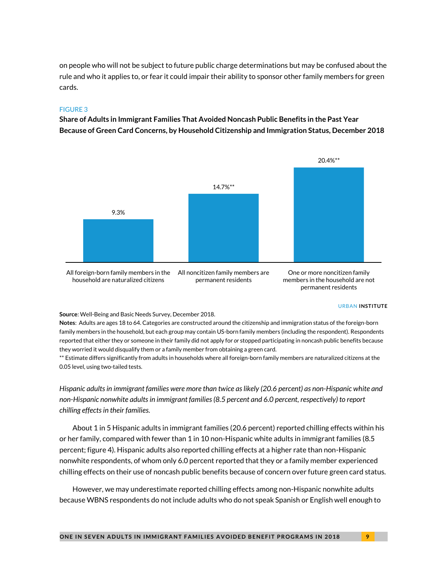on people who will not be subject to future public charge determinations but may be confused about the rule and who it applies to, or fear it could impair their ability to sponsor other family members for green cards.

#### FIGURE 3

**Share of Adults in Immigrant Families That Avoided Noncash Public Benefits in the Past Year Because of Green Card Concerns, by Household Citizenship and Immigration Status, December 2018**



household are naturalized citizens

permanent residents

members in the household are not permanent residents

#### URBAN **INSTITUTE**

**Source**: Well-Being and Basic Needs Survey, December 2018.

**Notes**: Adults are ages 18 to 64. Categories are constructed around the citizenship and immigration status of the foreign-born family members in the household, but each group may contain US-born family members (including the respondent). Respondents reported that either they or someone in their family did not apply for *or* stopped participating in noncash public benefits because they worried it would disqualify them or a family member from obtaining a green card.

\*\* Estimate differs significantly from adults in households where all foreign-born family members are naturalized citizens at the 0.05 level, using two-tailed tests.

*Hispanic adults in immigrant families were more than twice as likely (20.6 percent) as non-Hispanic white and non-Hispanic nonwhite adults in immigrant families (8.5 percent and 6.0 percent, respectively) to report chilling effects in their families.* 

About 1 in 5 Hispanic adults in immigrant families (20.6 percent) reported chilling effects within his or her family, compared with fewer than 1 in 10 non-Hispanic white adults in immigrant families (8.5 percent; figure 4). Hispanic adults also reported chilling effects at a higher rate than non-Hispanic nonwhite respondents, of whom only 6.0 percent reported that they or a family member experienced chilling effects on their use of noncash public benefits because of concern over future green card status.

However, we may underestimate reported chilling effects among non-Hispanic nonwhite adults because WBNS respondents do not include adults who do not speak Spanish or English well enough to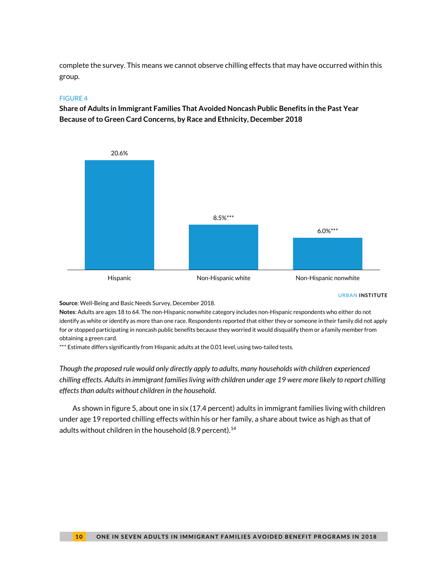complete the survey. This means we cannot observe chilling effects that may have occurred within this group.

#### FIGURE 4

**Share of Adults in Immigrant Families That Avoided Noncash Public Benefits in the Past Year Because of to Green Card Concerns, by Race and Ethnicity, December 2018**



URBAN **INSTITUTE**

**Source**: Well-Being and Basic Needs Survey, December 2018.

**Notes**: Adults are ages 18 to 64. The non-Hispanic nonwhite category includes non-Hispanic respondents who either do not identify as white or identify as more than one race. Respondents reported that either they or someone in their family did not apply for *or* stopped participating in noncash public benefits because they worried it would disqualify them or a family member from obtaining a green card.

\*\*\* Estimate differs significantly from Hispanic adults at the 0.01 level, using two-tailed tests.

*Though the proposed rule would only directly apply to adults, many households with children experienced chilling effects. Adults in immigrant families living with children under age 19 were more likely to report chilling effects than adults without children in the household.*

As shown in figure 5, about one in six (17.4 percent) adults in immigrant families living with children under age 19 reported chilling effects within his or her family, a share about twice as high as that of adults without children in the household (8.9 percent).<sup>14</sup>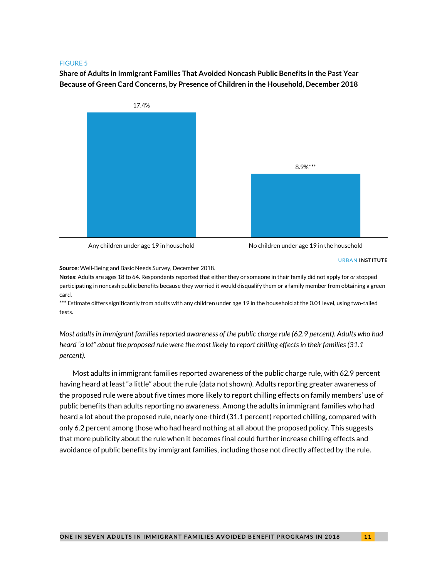**Share of Adults in Immigrant Families That Avoided Noncash Public Benefits in the Past Year Because of Green Card Concerns, by Presence of Children in the Household, December 2018**



Any children under age 19 in household No children under age 19 in the household

#### URBAN **INSTITUTE**

**Source**: Well-Being and Basic Needs Survey, December 2018.

**Notes**: Adults are ages 18 to 64. Respondents reported that either they or someone in their family did not apply for *or* stopped participating in noncash public benefits because they worried it would disqualify them or a family member from obtaining a green card.

\*\*\* Estimate differs significantly from adults with any children under age 19 in the household at the 0.01 level, using two-tailed tests.

*Most adults in immigrant families reported awareness of the public charge rule (62.9 percent). Adults who had heard "a lot" about the proposed rule were the most likely to report chilling effects in their families (31.1 percent).* 

Most adults in immigrant families reported awareness of the public charge rule, with 62.9 percent having heard at least "a little" about the rule (data not shown). Adults reporting greater awareness of the proposed rule were about five times more likely to report chilling effects on family members' use of public benefits than adults reporting no awareness. Among the adults in immigrant families who had heard a lot about the proposed rule, nearly one-third (31.1 percent) reported chilling, compared with only 6.2 percent among those who had heard nothing at all about the proposed policy. This suggests that more publicity about the rule when it becomes final could further increase chilling effects and avoidance of public benefits by immigrant families, including those not directly affected by the rule.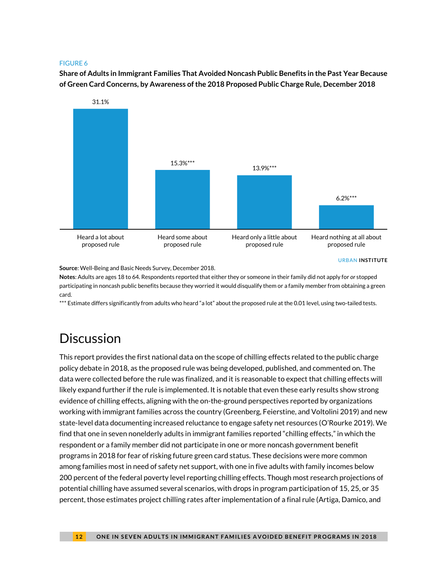**Share of Adults in Immigrant Families That Avoided Noncash Public Benefits in the Past Year Because of Green Card Concerns, by Awareness of the 2018 Proposed Public Charge Rule, December 2018**



**Source**: Well-Being and Basic Needs Survey, December 2018.

**Notes**: Adults are ages 18 to 64. Respondents reported that either they or someone in their family did not apply for *or* stopped participating in noncash public benefits because they worried it would disqualify them or a family member from obtaining a green card.

\*\*\* Estimate differs significantly from adults who heard "a lot" about the proposed rule at the 0.01 level, using two-tailed tests.

### **Discussion**

This report provides the first national data on the scope of chilling effects related to the public charge policy debate in 2018, as the proposed rule was being developed, published, and commented on. The data were collected before the rule was finalized, and it is reasonable to expect that chilling effects will likely expand further if the rule is implemented. It is notable that even these early results show strong evidence of chilling effects, aligning with the on-the-ground perspectives reported by organizations working with immigrant families across the country (Greenberg, Feierstine, and Voltolini 2019) and new state-level data documenting increased reluctance to engage safety net resources (O'Rourke 2019). We find that one in seven nonelderly adults in immigrant families reported "chilling effects," in which the respondent or a family member did not participate in one or more noncash government benefit programs in 2018 for fear of risking future green card status. These decisions were more common among families most in need of safety net support, with one in five adults with family incomes below 200 percent of the federal poverty level reporting chilling effects. Though most research projections of potential chilling have assumed several scenarios, with drops in program participation of 15, 25, or 35 percent, those estimates project chilling rates after implementation of a final rule (Artiga, Damico, and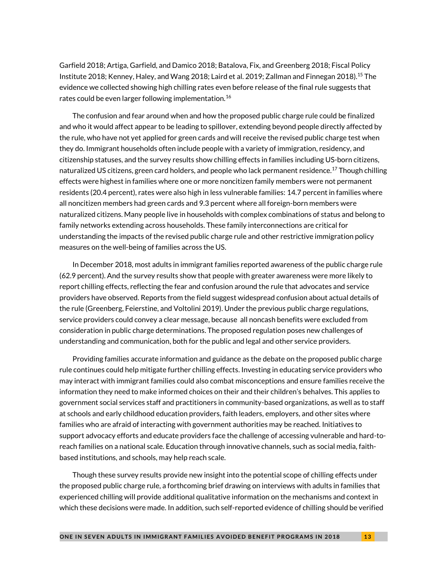Garfield 2018; Artiga, Garfield, and Damico 2018; Batalova, Fix, and Greenberg 2018; Fiscal Policy Institute 2018; Kenney, Haley, and Wang 2018; Laird et al. 2019; Zallman and Finnegan 2018).<sup>15</sup> The evidence we collected showing high chilling rates even before release of the final rule suggests that rates could be even larger following implementation.<sup>16</sup>

The confusion and fear around when and how the proposed public charge rule could be finalized and who it would affect appear to be leading to spillover, extending beyond people directly affected by the rule, who have not yet applied for green cards and will receive the revised public charge test when they do. Immigrant households often include people with a variety of immigration, residency, and citizenship statuses, and the survey results show chilling effects in families including US-born citizens, naturalized US citizens, green card holders, and people who lack permanent residence.<sup>17</sup> Though chilling effects were highest in families where one or more noncitizen family members were not permanent residents (20.4 percent), rates were also high in less vulnerable families: 14.7 percent in families where all noncitizen members had green cards and 9.3 percent where all foreign-born members were naturalized citizens. Many people live in households with complex combinations of status and belong to family networks extending across households. These family interconnections are critical for understanding the impacts of the revised public charge rule and other restrictive immigration policy measures on the well-being of families across the US.

In December 2018, most adults in immigrant families reported awareness of the public charge rule (62.9 percent). And the survey results show that people with greater awareness were more likely to report chilling effects, reflecting the fear and confusion around the rule that advocates and service providers have observed. Reports from the field suggest widespread confusion about actual details of the rule (Greenberg, Feierstine, and Voltolini 2019). Under the previous public charge regulations, service providers could convey a clear message, because all noncash benefits were excluded from consideration in public charge determinations. The proposed regulation poses new challenges of understanding and communication, both for the public and legal and other service providers.

Providing families accurate information and guidance as the debate on the proposed public charge rule continues could help mitigate further chilling effects. Investing in educating service providers who may interact with immigrant families could also combat misconceptions and ensure families receive the information they need to make informed choices on their and their children's behalves. This applies to government social services staff and practitioners in community-based organizations, as well as to staff at schools and early childhood education providers, faith leaders, employers, and other sites where families who are afraid of interacting with government authorities may be reached. Initiatives to support advocacy efforts and educate providers face the challenge of accessing vulnerable and hard-toreach families on a national scale. Education through innovative channels, such as social media, faithbased institutions, and schools, may help reach scale.

Though these survey results provide new insight into the potential scope of chilling effects under the proposed public charge rule, a forthcoming brief drawing on interviews with adults in families that experienced chilling will provide additional qualitative information on the mechanisms and context in which these decisions were made. In addition, such self-reported evidence of chilling should be verified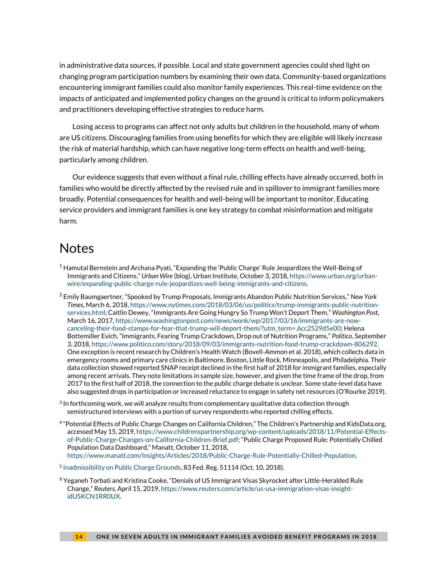in administrative data sources, if possible. Local and state government agencies could shed light on changing program participation numbers by examining their own data. Community-based organizations encountering immigrant families could also monitor family experiences. This real-time evidence on the impacts of anticipated and implemented policy changes on the ground is critical to inform policymakers and practitioners developing effective strategies to reduce harm.

Losing access to programs can affect not only adults but children in the household, many of whom are US citizens. Discouraging families from using benefits for which they are eligible will likely increase the risk of material hardship, which can have negative long-term effects on health and well-being, particularly among children.

Our evidence suggests that even without a final rule, chilling effects have already occurred, both in families who would be directly affected by the revised rule and in spillover to immigrant families more broadly. Potential consequences for health and well-being will be important to monitor. Educating service providers and immigrant families is one key strategy to combat misinformation and mitigate harm.

### Notes

- $^1$  Hamutal Bernstein and Archana Pyati, "Expanding the 'Public Charge' Rule Jeopardizes the Well-Being of Immigrants and Citizens," *Urban Wire* (blog), Urban Institute, October 3, 2018[, https://www.urban.org/urban](https://www.urban.org/urban-wire/expanding-public-charge-rule-jeopardizes-well-being-immigrants-and-citizens)[wire/expanding-public-charge-rule-jeopardizes-well-being-immigrants-and-citizens.](https://www.urban.org/urban-wire/expanding-public-charge-rule-jeopardizes-well-being-immigrants-and-citizens)
- <sup>2</sup> Emily Baumgaertner, "Spooked by Trump Proposals, Immigrants Abandon Public Nutrition Services," *New York Times*, March 6, 2018[, https://www.nytimes.com/2018/03/06/us/politics/trump-immigrants-public-nutrition](https://www.nytimes.com/2018/03/06/us/politics/trump-immigrants-public-nutrition-services.html)[services.html;](https://www.nytimes.com/2018/03/06/us/politics/trump-immigrants-public-nutrition-services.html) Caitlin Dewey, "Immigrants Are Going Hungry So Trump Won't Deport Them," *Washington Post*, March 16, 2017[, https://www.washingtonpost.com/news/wonk/wp/2017/03/16/immigrants-are-now](https://www.washingtonpost.com/news/wonk/wp/2017/03/16/immigrants-are-now-canceling-their-food-stamps-for-fear-that-trump-will-deport-them/?utm_term=.6cc2529d5e00)[canceling-their-food-stamps-for-fear-that-trump-will-deport-them/?utm\\_term=.6cc2529d5e00;](https://www.washingtonpost.com/news/wonk/wp/2017/03/16/immigrants-are-now-canceling-their-food-stamps-for-fear-that-trump-will-deport-them/?utm_term=.6cc2529d5e00) Helena Bottemiller Evich, "Immigrants, Fearing Trump Crackdown, Drop out of Nutrition Programs," *Politico*, September 3, 2018[, https://www.politico.com/story/2018/09/03/immigrants-nutrition-food-trump-crackdown-806292.](https://www.politico.com/story/2018/09/03/immigrants-nutrition-food-trump-crackdown-806292)  One exception is recent research by Children's Health Watch (Bovell-Ammon et al. 2018), which collects data in emergency rooms and primary care clinics in Baltimore, Boston, Little Rock, Minneapolis, and Philadelphia. Their data collection showed reported SNAP receipt declined in the first half of 2018 for immigrant families, especially among recent arrivals. They note limitations in sample size, however, and given the time frame of the drop, from 2017 to the first half of 2018, the connection to the public charge debate is unclear. Some state-level data have also suggested drops in participation or increased reluctance to engage in safety net resources (O'Rourke 2019).
- $3$  In forthcoming work, we will analyze results from complementary qualitative data collection through semistructured interviews with a portion of survey respondents who reported chilling effects.
- 4 "Potential Effects of Public Charge Changes on California Children," The Children's Partnership and KidsData.org, accessed May 15, 2019[, https://www.childrenspartnership.org/wp-content/uploads/2018/11/Potential-Effects](https://www.childrenspartnership.org/wp-content/uploads/2018/11/Potential-Effects-of-Public-Charge-Changes-on-California-Children-Brief.pdf)[of-Public-Charge-Changes-on-California-Children-Brief.pdf](https://www.childrenspartnership.org/wp-content/uploads/2018/11/Potential-Effects-of-Public-Charge-Changes-on-California-Children-Brief.pdf); "Public Charge Proposed Rule: Potentially Chilled Population Data Dashboard," Manatt, October 11, 2018, [https://www.manatt.com/Insights/Articles/2018/Public-Charge-Rule-Potentially-Chilled-Population.](https://www.manatt.com/Insights/Articles/2018/Public-Charge-Rule-Potentially-Chilled-Population)
- <sup>5</sup> [Inadmissibility on Public Charge Grounds,](https://www.federalregister.gov/documents/2018/10/10/2018-21106/inadmissibility-on-public-charge-grounds) 83 Fed. Reg. 51114 (Oct. 10, 2018).
- $^6$  Yeganeh Torbati and Kristina Cooke, "Denials of US Immigrant Visas Skyrocket after Little-Heralded Rule Change," *Reuters*, April 15, 2019[, https://www.reuters.com/article/us-usa-immigration-visas-insight](https://www.reuters.com/article/us-usa-immigration-visas-insight-idUSKCN1RR0UX)[idUSKCN1RR0UX.](https://www.reuters.com/article/us-usa-immigration-visas-insight-idUSKCN1RR0UX)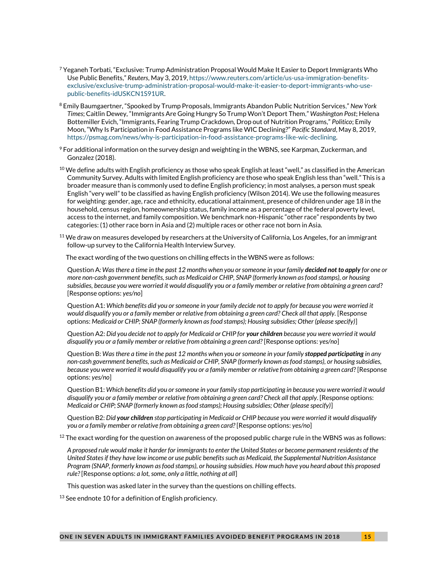- $^7$  Yeganeh Torbati, "Exclusive: Trump Administration Proposal Would Make It Easier to Deport Immigrants Who Use Public Benefits," *Reuters*, May 3, 2019, [https://www.reuters.com/article/us-usa-immigration-benefits](https://www.reuters.com/article/us-usa-immigration-benefits-exclusive/exclusive-trump-administration-proposal-would-make-it-easier-to-deport-immigrants-who-use-public-benefits-idUSKCN1S91UR)[exclusive/exclusive-trump-administration-proposal-would-make-it-easier-to-deport-immigrants-who-use](https://www.reuters.com/article/us-usa-immigration-benefits-exclusive/exclusive-trump-administration-proposal-would-make-it-easier-to-deport-immigrants-who-use-public-benefits-idUSKCN1S91UR)[public-benefits-idUSKCN1S91UR.](https://www.reuters.com/article/us-usa-immigration-benefits-exclusive/exclusive-trump-administration-proposal-would-make-it-easier-to-deport-immigrants-who-use-public-benefits-idUSKCN1S91UR)
- <sup>8</sup> Emily Baumgaertner, "Spooked by Trump Proposals, Immigrants Abandon Public Nutrition Services," *New York Times*; Caitlin Dewey, "Immigrants Are Going Hungry So Trump Won't Deport Them," *Washington Post*; Helena Bottemiller Evich, "Immigrants, Fearing Trump Crackdown, Drop out of Nutrition Programs," *Politico*; Emily Moon, "Why Is Participation in Food Assistance Programs like WIC Declining?" *Pacific Standard*, May 8, 2019, [https://psmag.com/news/why-is-participation-in-food-assistance-programs-like-wic-declining.](https://psmag.com/news/why-is-participation-in-food-assistance-programs-like-wic-declining)
- $9$  For additional information on the survey design and weighting in the WBNS, see Karpman, Zuckerman, and Gonzalez (2018).
- $^{10}$  We define adults with English proficiency as those who speak English at least "well," as classified in the American Community Survey. Adults with limited English proficiency are those who speak English less than "well." This is a broader measure than is commonly used to define English proficiency; in most analyses, a person must speak English "very well" to be classified as having English proficiency (Wilson 2014). We use the following measures for weighting: gender, age, race and ethnicity, educational attainment, presence of children under age 18 in the household, census region, homeownership status, family income as a percentage of the federal poverty level, access to the internet, and family composition. We benchmark non-Hispanic "other race" respondents by two categories: (1) other race born in Asia and (2) multiple races or other race not born in Asia.
- $11$  We draw on measures developed by researchers at the University of California, Los Angeles, for an immigrant follow-up survey to the California Health Interview Survey.

The exact wording of the two questions on chilling effects in the WBNS were as follows:

Question A*: Was there a time in the past 12 months when you or someone in your family decided not to apply for one or more non-cash government benefits, such as Medicaid or CHIP, SNAP (formerly known as food stamps), or housing subsidies, because you were worried it would disqualify you or a family member or relative from obtaining a green card*? [Response options: *yes/no*]

Question A1: *Which benefits did you or someone in your family decide not to apply for because you were worried it would disqualify you or a family member or relative from obtaining a green card? Check all that apply.* [Response options: *Medicaid or CHIP; SNAP (formerly known as food stamps); Housing subsidies; Other (please specify)*]

Question A2: *Did you decide not to apply for Medicaid or CHIP for your children because you were worried it would disqualify you or a family member or relative from obtaining a green card?* [Response options: *yes/no*]

Question B: *Was there a time in the past 12 months when you or someone in your family stopped participating in any non-cash government benefits, such as Medicaid or CHIP, SNAP (formerly known as food stamps), or housing subsidies, because you were worried it would disqualify you or a family member or relative from obtaining a green card*? [Response options: *yes/no*]

Question B1: *Which benefits did you or someone in your family stop participating in because you were worried it would disqualify you or a family member or relative from obtaining a green card? Check all that apply*. [Response options: *Medicaid or CHIP; SNAP (formerly known as food stamps); Housing subsidies; Other (please specify)*]

Question B2: *Did your children stop participating in Medicaid or CHIP because you were worried it would disqualify you or a family member or relative from obtaining a green card?* [Response options: *yes/no*]

 $12$  The exact wording for the question on awareness of the proposed public charge rule in the WBNS was as follows:

*A proposed rule would make it harder for immigrants to enter the United States or become permanent residents of the United States if they have low income or use public benefits such as Medicaid, the Supplemental Nutrition Assistance Program (SNAP, formerly known as food stamps), or housing subsidies. How much have you heard about this proposed rule?* [Response options: *a lot, some, only a little, nothing at all*]

This question was asked later in the survey than the questions on chilling effects.

 $13$  See endnote 10 for a definition of English proficiency.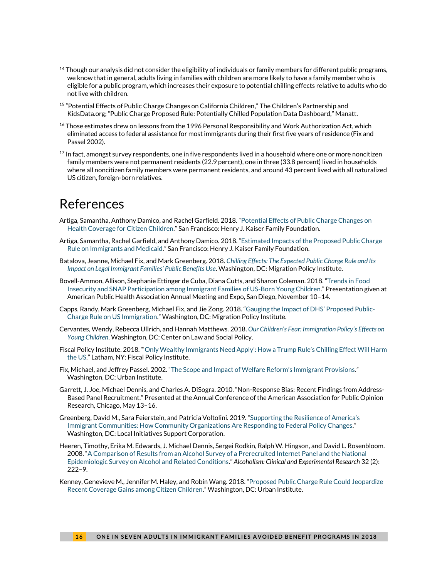- $^{14}$  Though our analysis did not consider the eligibility of individuals or family members for different public programs, we know that in general, adults living in families with children are more likely to have a family member who is eligible for a public program, which increases their exposure to potential chilling effects relative to adults who do not live with children.
- 15 "Potential Effects of Public Charge Changes on California Children," The Children's Partnership and KidsData.org; "Public Charge Proposed Rule: Potentially Chilled Population Data Dashboard," Manatt.
- <sup>16</sup> Those estimates drew on lessons from the 1996 Personal Responsibility and Work Authorization Act, which eliminated access to federal assistance for most immigrants during their first five years of residence (Fix and Passel 2002).
- $^{17}$  In fact, amongst survey respondents, one in five respondents lived in a household where one or more noncitizen family members were not permanent residents (22.9 percent), one in three (33.8 percent) lived in households where all noncitizen family members were permanent residents, and around 43 percent lived with all naturalized US citizen, foreign-born relatives.

### References

- Artiga, Samantha, Anthony Damico, and Rachel Garfield. 2018. "[Potential Effects of Public Charge Changes on](https://www.kff.org/disparities-policy/issue-brief/potential-effects-of-public-charge-changes-on-health-coverage-for-citizen-children/)  [Health Coverage for Citizen Children.](https://www.kff.org/disparities-policy/issue-brief/potential-effects-of-public-charge-changes-on-health-coverage-for-citizen-children/)" San Francisco: Henry J. Kaiser Family Foundation.
- Artiga, Samantha, Rachel Garfield, and Anthony Damico. 2018. "[Estimated Impacts of the Proposed Public Charge](https://www.kff.org/disparities-policy/issue-brief/estimated-impacts-of-the-proposed-public-charge-rule-on-immigrants-and-medicaid/)  [Rule on Immigrants and Medicaid.](https://www.kff.org/disparities-policy/issue-brief/estimated-impacts-of-the-proposed-public-charge-rule-on-immigrants-and-medicaid/)" San Francisco: Henry J. Kaiser Family Foundation.
- Batalova, Jeanne, Michael Fix, and Mark Greenberg. 2018. *[Chilling Effects: The Expected Public Charge Rule and Its](https://www.migrationpolicy.org/research/chilling-effects-expected-public-charge-rule-impact-legal-immigrant-families)  [Impact on Legal Immigrant Families' Public Benefits Use](https://www.migrationpolicy.org/research/chilling-effects-expected-public-charge-rule-impact-legal-immigrant-families)*. Washington, DC: Migration Policy Institute.
- Bovell-Ammon, Allison, Stephanie Ettinger de Cuba, Diana Cutts, and Sharon Coleman. 2018. "[Trends in Food](http://childrenshealthwatch.org/trendsinsnapandimmigrantfamilies/)  [Insecurity and SNAP Participation among Immigrant Families of US-Born Young Children.](http://childrenshealthwatch.org/trendsinsnapandimmigrantfamilies/)" Presentation given at American Public Health Association Annual Meeting and Expo, San Diego, November 10–14.
- Capps, Randy, Mark Greenberg, Michael Fix, and Jie Zong. 2018. ["Gauging the Impact of DHS' Proposed Public](https://www.migrationpolicy.org/research/impact-dhs-public-charge-rule-immigration)-[Charge Rule on US Immigration.](https://www.migrationpolicy.org/research/impact-dhs-public-charge-rule-immigration)" Washington, DC: Migration Policy Institute.
- Cervantes, Wendy, Rebecca Ullrich, and Hannah Matthews. 2018. *[Our Children's Fear: Immigration Policy's Effects on](https://www.clasp.org/publications/report/brief/our-childrens-fear-immigration-policys-effects-young-children)  [Young Children](https://www.clasp.org/publications/report/brief/our-childrens-fear-immigration-policys-effects-young-children)*. Washington, DC: Center on Law and Social Policy.
- Fiscal Policy Institute. 2018. ["'Only Wealthy Immigrants Need Apply'](http://fiscalpolicy.org/wp-content/uploads/2018/10/US-Impact-of-Public-Charge.pdf): How a Trump Rule's Chilling Effect Will Harm [the US.](http://fiscalpolicy.org/wp-content/uploads/2018/10/US-Impact-of-Public-Charge.pdf)" Latham, NY: Fiscal Policy Institute.
- Fix, Michael, and Jeffrey Passel. 2002. ["The Scope and Impact of Welfare Reform's Immigrant Provisions](file:///D:/../AppData/Local/Microsoft/Windows/Temporary%20Internet%20Files/MKarpman/AppData/Local/Microsoft/Windows/Temporary%20Internet%20Files/Content.Outlook/AppData/Local/Microsoft/Windows/Temporary%20Internet%20Files/Content.Outlook/Library/Application%20Support/Box/Box%20Edit/Documents/444832746419/.%20https:/www.urban.org/sites/default/files/publication/60346/410412-Scope-and-Impact-of-Welfare-Reform-s-Immigrant-Provisions-The.PDF)." Washington, DC: Urban Institute.
- Garrett, J. Joe, Michael Dennis, and Charles A. DiSogra. 2010. "Non-Response Bias: Recent Findings from Address-Based Panel Recruitment." Presented at the Annual Conference of the American Association for Public Opinion Research, Chicago, May 13–16.
- Greenberg, David M., Sara Feierstein, and Patricia Voltolini. 2019. ["Supporting the Resilience of America's](http://www.lisc.org/media/filer_public/3c/d6/3cd6c801-6931-4e1b-93a7-7a0e825719b4/011419_research_whitepaper_immigration.pdf)  [Immigrant Communities: How Community Organizations Are Responding to Federal Policy Changes.](http://www.lisc.org/media/filer_public/3c/d6/3cd6c801-6931-4e1b-93a7-7a0e825719b4/011419_research_whitepaper_immigration.pdf)" Washington, DC: Local Initiatives Support Corporation.
- Heeren, Timothy, Erika M. Edwards, J. Michael Dennis, Sergei Rodkin, Ralph W. Hingson, and David L. Rosenbloom. 2008. "[A Comparison of Results from an Alcohol Survey of a Prerecruited Internet Panel and the National](https://onlinelibrary.wiley.com/doi/abs/10.1111/j.1530-0277.2007.00571.x)  [Epidemiologic Survey on Alcohol and Related Conditions](https://onlinelibrary.wiley.com/doi/abs/10.1111/j.1530-0277.2007.00571.x)." *Alcoholism: Clinical and Experimental Research* 32 (2):  $222 - 9.$
- Kenney, Genevieve M., Jennifer M. Haley, and Robin Wang. 2018. "[Proposed Public Charge Rule Could Jeopardize](https://www.urban.org/research/publication/proposed-public-charge-rule-could-jeopardize-recent-coverage-gains-among-citizen-children)  [Recent Coverage Gains among Citizen Children.](https://www.urban.org/research/publication/proposed-public-charge-rule-could-jeopardize-recent-coverage-gains-among-citizen-children)" Washington, DC: Urban Institute.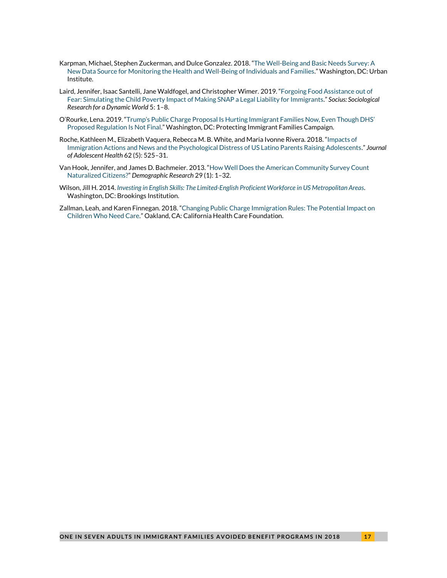- Karpman, Michael, Stephen Zuckerman, and Dulce Gonzalez. 2018. "[The Well-Being and Basic Needs Survey: A](https://www.urban.org/research/publication/well-being-and-basic-needs-survey)  [New Data Source for Monitoring the Health and Well-Being of Individuals and Families.](https://www.urban.org/research/publication/well-being-and-basic-needs-survey)" Washington, DC: Urban Institute.
- Laird, Jennifer, Isaac Santelli, Jane Waldfogel, and Christopher Wimer. 2019. "[Forgoing Food Assistance out of](https://doi.org/10.1177%2F2378023119832691)  Fear: Simulating the Child Poverty [Impact of Making SNAP a Legal Liability for Immigrants.](https://doi.org/10.1177%2F2378023119832691)" *Socius: Sociological Research for a Dynamic World* 5: 1–8.
- O'Rourke, Lena. 2019. "Trump's Public Charge Proposal I[s Hurting Immigrant Families Now, Even Though DHS'](https://protectingimmigrantfamilies.org/wp-content/uploads/2019/04/PIF-Documenting-Harm-Fact-Sheet-Final-4.18.19.pdf)  [Proposed Regulation Is Not Final.](https://protectingimmigrantfamilies.org/wp-content/uploads/2019/04/PIF-Documenting-Harm-Fact-Sheet-Final-4.18.19.pdf)" Washington, DC: Protecting Immigrant Families Campaign.
- Roche, Kathleen M., Elizabeth Vaquera, Rebecca M. B. White, and Maria Ivonne Rivera. 2018. "[Impacts of](https://www.jahonline.org/article/S1054-139X(18)30054-5/fulltext)  [Immigration Actions and News and the Psychological Distress of US Latino Parents Raising Adolescents](https://www.jahonline.org/article/S1054-139X(18)30054-5/fulltext)." *Journal of Adolescent Health* 62 (5): 525–31.
- Van Hook, Jennifer, and James D. Bachmeier. 2013. "[How Well Does the American Community Survey Count](https://www.demographic-research.org/volumes/vol29/1/29-1.pdf)  [Naturalized Citizens?](https://www.demographic-research.org/volumes/vol29/1/29-1.pdf)" *Demographic Research* 29 (1): 1–32.
- Wilson, Jill H. 2014. *[Investing in English Skills: The Limited-English Proficient Workforce in US Metropolitan Areas](https://www.brookings.edu/research/investing-in-english-skills-the-limited-english-proficient-workforce-in-u-s-metropolitan-areas/)*. Washington, DC: Brookings Institution.
- Zallman, Leah, and Karen Finnegan. 2018. "[Changing Public Charge Immigration Rules: The Potential Impact on](https://www.chcf.org/publication/changing-public-charge-immigration-rules/) [Children Who Need Care.](https://www.chcf.org/publication/changing-public-charge-immigration-rules/)" Oakland, CA: California Health Care Foundation.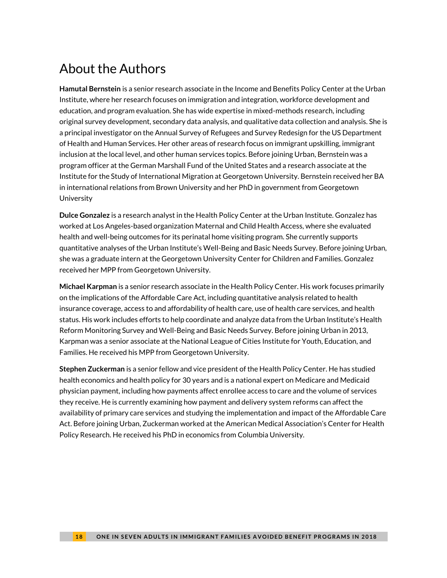# About the Authors

**Hamutal Bernstein** is a senior research associate in the Income and Benefits Policy Center at the Urban Institute, where her research focuses on immigration and integration, workforce development and education, and program evaluation. She has wide expertise in mixed-methods research, including original survey development, secondary data analysis, and qualitative data collection and analysis. She is a principal investigator on the Annual Survey of Refugees and Survey Redesign for the US Department of Health and Human Services. Her other areas of research focus on immigrant upskilling, immigrant inclusion at the local level, and other human services topics. Before joining Urban, Bernstein was a program officer at the German Marshall Fund of the United States and a research associate at the Institute for the Study of International Migration at Georgetown University. Bernstein received her BA in international relations from Brown University and her PhD in government from Georgetown University

**Dulce Gonzalez** is a research analyst in the Health Policy Center at the Urban Institute. Gonzalez has worked at Los Angeles-based organization Maternal and Child Health Access, where she evaluated health and well-being outcomes for its perinatal home visiting program. She currently supports quantitative analyses of the Urban Institute's Well-Being and Basic Needs Survey. Before joining Urban, she was a graduate intern at the Georgetown University Center for Children and Families. Gonzalez received her MPP from Georgetown University.

**Michael Karpman** is a senior research associate in the Health Policy Center. His work focuses primarily on the implications of the Affordable Care Act, including quantitative analysis related to health insurance coverage, access to and affordability of health care, use of health care services, and health status. His work includes efforts to help coordinate and analyze data from the Urban Institute's Health Reform Monitoring Survey and Well-Being and Basic Needs Survey. Before joining Urban in 2013, Karpman was a senior associate at the National League of Cities Institute for Youth, Education, and Families. He received his MPP from Georgetown University.

**Stephen Zuckerman** is a senior fellow and vice president of the Health Policy Center. He has studied health economics and health policy for 30 years and is a national expert on Medicare and Medicaid physician payment, including how payments affect enrollee access to care and the volume of services they receive. He is currently examining how payment and delivery system reforms can affect the availability of primary care services and studying the implementation and impact of the Affordable Care Act. Before joining Urban, Zuckerman worked at the American Medical Association's Center for Health Policy Research. He received his PhD in economics from Columbia University.